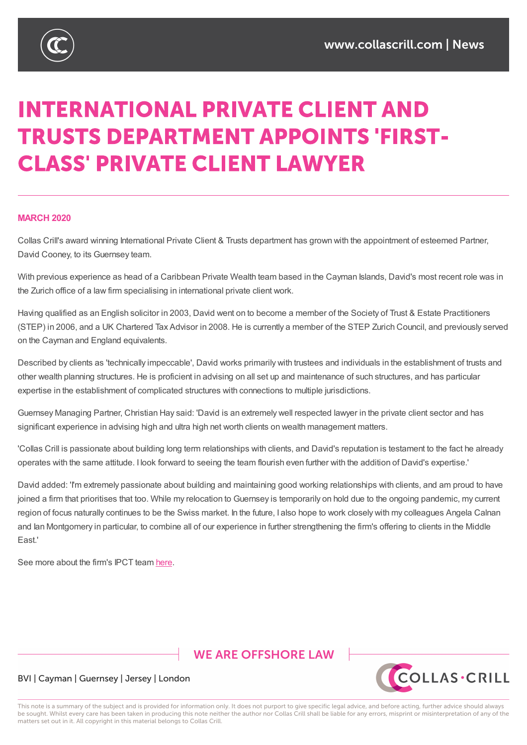

# **INTERNATIONAL PRIVATE CLIENT AND TRUSTS DEPARTMENT APPOINTS 'FIRST-CLASS' PRIVATE CLIENT LAWYER**

## **MARCH 2020**

Collas Crill's award winning International Private Client & Trusts department has grown with the appointment of esteemed Partner, David Cooney, to its Guernsey team.

With previous experience as head of a Caribbean Private Wealth team based in the Cayman Islands, David's most recent role was in the Zurich office of a law firm specialising in international private client work.

Having qualified as an English solicitor in 2003, David went on to become a member of the Society of Trust & Estate Practitioners (STEP) in 2006, and a UK Chartered Tax Advisor in 2008. He is currently a member of the STEP Zurich Council, and previously served on the Cayman and England equivalents.

Described by clients as 'technically impeccable', David works primarily with trustees and individuals in the establishment of trusts and other wealth planning structures. He is proficient in advising on all set up and maintenance of such structures, and has particular expertise in the establishment of complicated structures with connections to multiple jurisdictions.

Guernsey Managing Partner, Christian Hay said: 'David is an extremely well respected lawyer in the private client sector and has significant experience in advising high and ultra high net worth clients on wealth management matters.

'Collas Crill is passionate about building long term relationships with clients, and David's reputation is testament to the fact he already operates with the same attitude. I look forward to seeing the team flourish even further with the addition of David's expertise.'

David added: 'I'm extremely passionate about building and maintaining good working relationships with clients, and am proud to have joined a firm that prioritises that too. While my relocation to Guernsey is temporarily on hold due to the ongoing pandemic, my current region of focus naturally continues to be the Swiss market. In the future, I also hope to work closely with my colleagues Angela Calnan and Ian Montgomery in particular, to combine all of our experience in further strengthening the firm's offering to clients in the Middle East.'

See more about the firm's IPCT team here.

# **WE ARE OFFSHORE LAW**



# BVI | Cayman | Guernsey | Jersey | London

This note is a summary of the subject and is provided for information only. It does not purport to give specific legal advice, and before acting, further advice should always be sought. Whilst every care has been taken in producing this note neither the author nor Collas Crill shall be liable for any errors, misprint or misinterpretation of any of the matters set out in it. All copyright in this material belongs to Collas Crill.